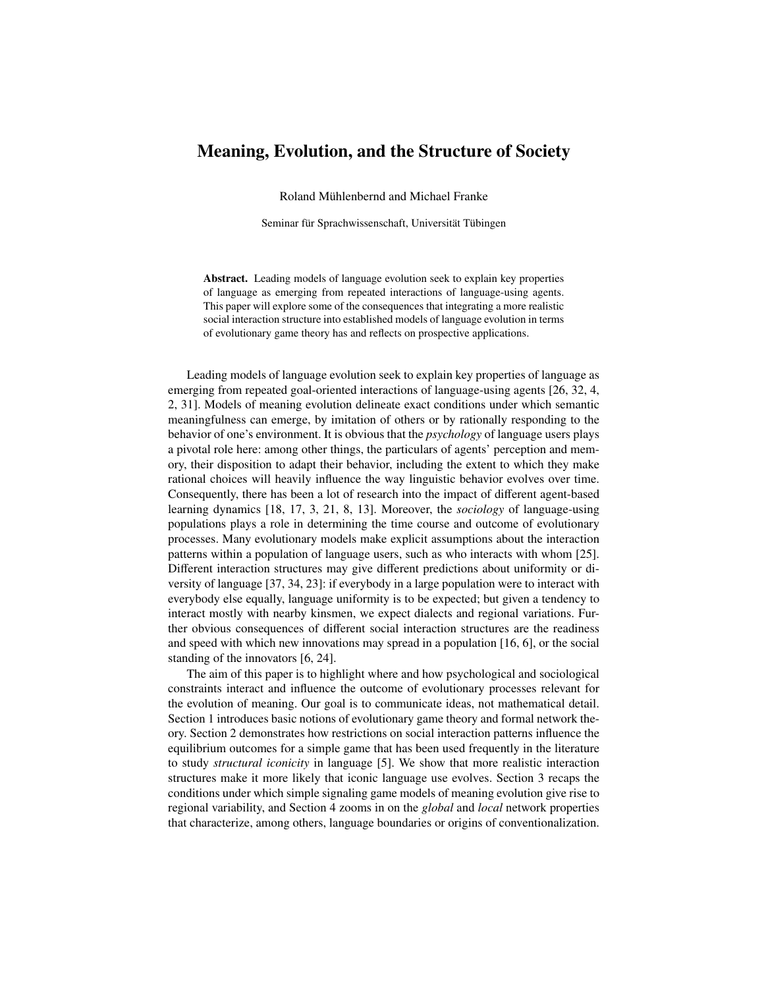# Meaning, Evolution, and the Structure of Society

Roland Mühlenbernd and Michael Franke

Seminar für Sprachwissenschaft, Universität Tübingen

Abstract. Leading models of language evolution seek to explain key properties of language as emerging from repeated interactions of language-using agents. This paper will explore some of the consequences that integrating a more realistic social interaction structure into established models of language evolution in terms of evolutionary game theory has and reflects on prospective applications.

Leading models of language evolution seek to explain key properties of language as emerging from repeated goal-oriented interactions of language-using agents [\[26,](#page-11-0) [32,](#page-11-1) [4,](#page-10-0) [2,](#page-10-1) [31\]](#page-11-2). Models of meaning evolution delineate exact conditions under which semantic meaningfulness can emerge, by imitation of others or by rationally responding to the behavior of one's environment. It is obvious that the *psychology* of language users plays a pivotal role here: among other things, the particulars of agents' perception and memory, their disposition to adapt their behavior, including the extent to which they make rational choices will heavily influence the way linguistic behavior evolves over time. Consequently, there has been a lot of research into the impact of different agent-based learning dynamics [\[18,](#page-10-2) [17,](#page-10-3) [3,](#page-10-4) [21,](#page-11-3) [8,](#page-10-5) [13\]](#page-10-6). Moreover, the *sociology* of language-using populations plays a role in determining the time course and outcome of evolutionary processes. Many evolutionary models make explicit assumptions about the interaction patterns within a population of language users, such as who interacts with whom [\[25\]](#page-11-4). Different interaction structures may give different predictions about uniformity or diversity of language [\[37,](#page-11-5) [34,](#page-11-6) [23\]](#page-11-7): if everybody in a large population were to interact with everybody else equally, language uniformity is to be expected; but given a tendency to interact mostly with nearby kinsmen, we expect dialects and regional variations. Further obvious consequences of different social interaction structures are the readiness and speed with which new innovations may spread in a population [\[16,](#page-10-7) [6\]](#page-10-8), or the social standing of the innovators [\[6,](#page-10-8) [24\]](#page-11-8).

The aim of this paper is to highlight where and how psychological and sociological constraints interact and influence the outcome of evolutionary processes relevant for the evolution of meaning. Our goal is to communicate ideas, not mathematical detail. Section [1](#page-1-0) introduces basic notions of evolutionary game theory and formal network theory. Section [2](#page-4-0) demonstrates how restrictions on social interaction patterns influence the equilibrium outcomes for a simple game that has been used frequently in the literature to study *structural iconicity* in language [\[5\]](#page-10-9). We show that more realistic interaction structures make it more likely that iconic language use evolves. Section [3](#page-6-0) recaps the conditions under which simple signaling game models of meaning evolution give rise to regional variability, and Section [4](#page-7-0) zooms in on the *global* and *local* network properties that characterize, among others, language boundaries or origins of conventionalization.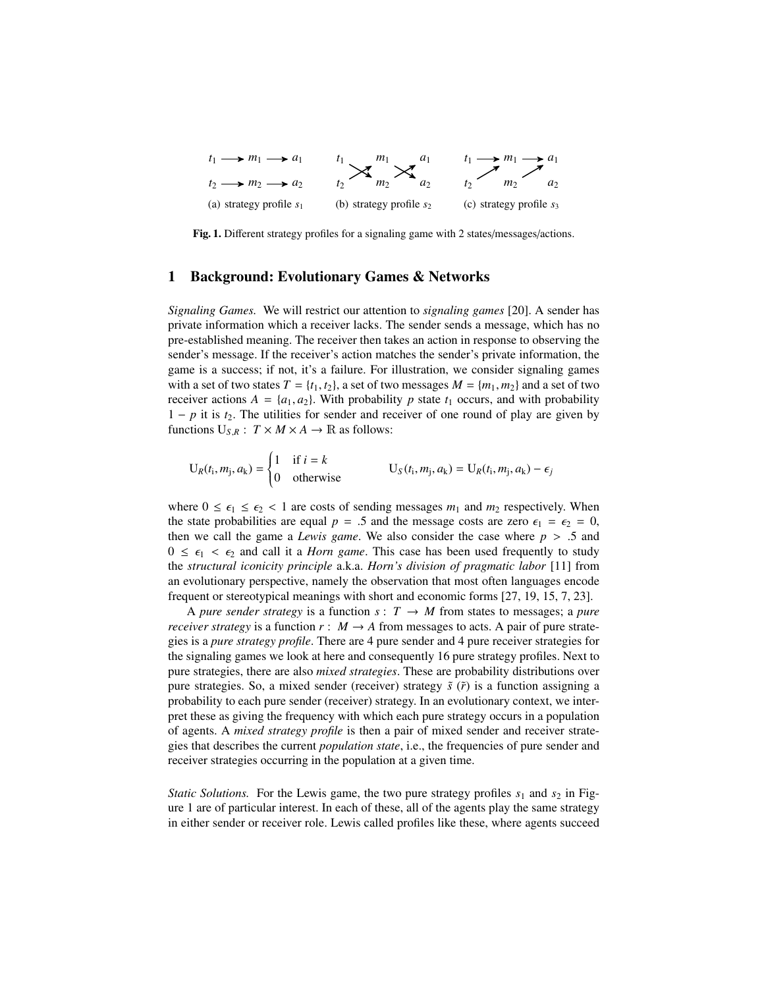<span id="page-1-2"></span>

<span id="page-1-1"></span>Fig. 1. Different strategy profiles for a signaling game with 2 states/messages/actions.

#### <span id="page-1-0"></span>1 Background: Evolutionary Games & Networks

*Signaling Games.* We will restrict our attention to *signaling games* [\[20\]](#page-11-9). A sender has private information which a receiver lacks. The sender sends a message, which has no pre-established meaning. The receiver then takes an action in response to observing the sender's message. If the receiver's action matches the sender's private information, the game is a success; if not, it's a failure. For illustration, we consider signaling games with a set of two states  $T = \{t_1, t_2\}$ , a set of two messages  $M = \{m_1, m_2\}$  and a set of two receiver actions  $A = \{a_1, a_2\}$ . With probability p state  $t_1$  occurs, and with probability 1 − *p* it is *t*2. The utilities for sender and receiver of one round of play are given by functions  $U_{S,R}$ :  $T \times M \times A \rightarrow \mathbb{R}$  as follows:

$$
U_R(t_i, m_j, a_k) = \begin{cases} 1 & \text{if } i = k \\ 0 & \text{otherwise} \end{cases} \qquad U_S(t_i, m_j, a_k) = U_R(t_i, m_j, a_k) - \epsilon_j
$$

where  $0 \le \epsilon_1 \le \epsilon_2 < 1$  are costs of sending messages  $m_1$  and  $m_2$  respectively. When the state probabilities are equal  $p = .5$  and the message costs are zero  $\epsilon_1 = \epsilon_2 = 0$ , then we call the game a *Lewis game*. We also consider the case where  $p > .5$  and  $0 \leq \epsilon_1 < \epsilon_2$  and call it a *Horn game*. This case has been used frequently to study the *structural iconicity principle* a.k.a. *Horn's division of pragmatic labor* [\[11\]](#page-10-10) from an evolutionary perspective, namely the observation that most often languages encode frequent or stereotypical meanings with short and economic forms [\[27,](#page-11-10) [19,](#page-11-11) [15,](#page-10-11) [7,](#page-10-12) [23\]](#page-11-7).

A *pure sender strategy* is a function  $s: T \rightarrow M$  from states to messages; a *pure receiver strategy* is a function  $r : M \to A$  from messages to acts. A pair of pure strategies is a *pure strategy profile*. There are 4 pure sender and 4 pure receiver strategies for the signaling games we look at here and consequently 16 pure strategy profiles. Next to pure strategies, there are also *mixed strategies*. These are probability distributions over pure strategies. So, a mixed sender (receiver) strategy  $\tilde{s}$  ( $\tilde{r}$ ) is a function assigning a probability to each pure sender (receiver) strategy. In an evolutionary context, we interpret these as giving the frequency with which each pure strategy occurs in a population of agents. A *mixed strategy profile* is then a pair of mixed sender and receiver strategies that describes the current *population state*, i.e., the frequencies of pure sender and receiver strategies occurring in the population at a given time.

*Static Solutions.* For the Lewis game, the two pure strategy profiles  $s_1$  and  $s_2$  in Figure [1](#page-1-1) are of particular interest. In each of these, all of the agents play the same strategy in either sender or receiver role. Lewis called profiles like these, where agents succeed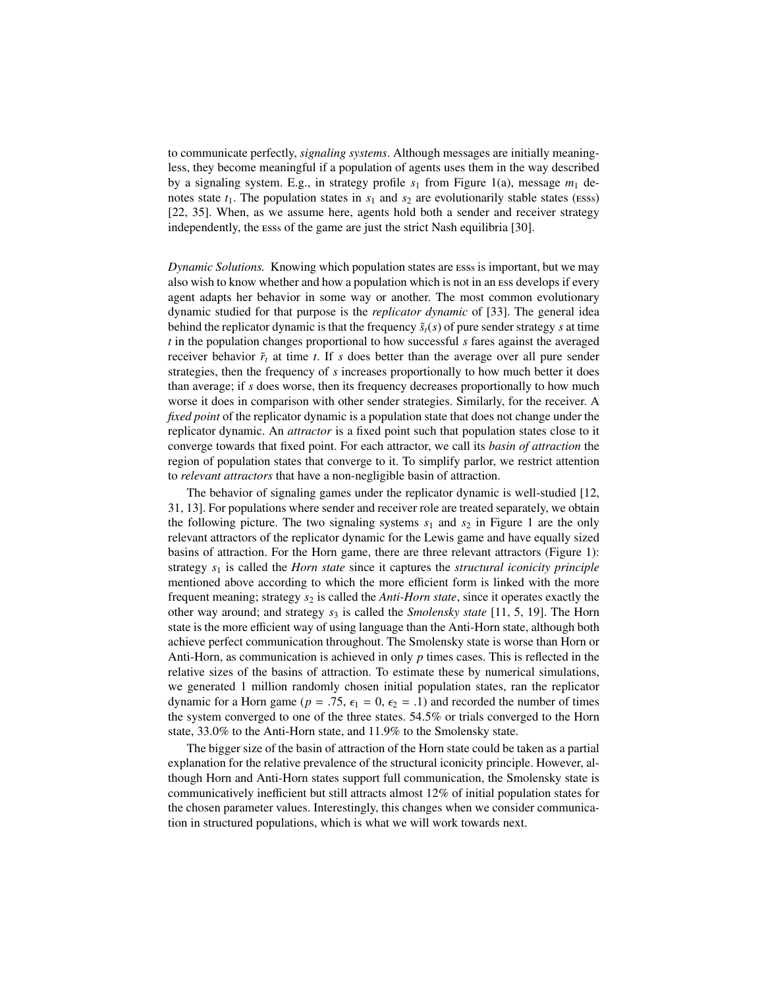to communicate perfectly, *signaling systems*. Although messages are initially meaningless, they become meaningful if a population of agents uses them in the way described by a signaling system. E.g., in strategy profile  $s_1$  from Figure [1\(a\),](#page-1-2) message  $m_1$  denotes state  $t_1$ . The population states in  $s_1$  and  $s_2$  are evolutionarily stable states (Esss) [\[22,](#page-11-12) [35\]](#page-11-13). When, as we assume here, agents hold both a sender and receiver strategy independently, the ess<sup>s</sup> of the game are just the strict Nash equilibria [\[30\]](#page-11-14).

*Dynamic Solutions.* Knowing which population states are ess<sup>s</sup> is important, but we may also wish to know whether and how a population which is not in an ess develops if every agent adapts her behavior in some way or another. The most common evolutionary dynamic studied for that purpose is the *replicator dynamic* of [\[33\]](#page-11-15). The general idea behind the replicator dynamic is that the frequency  $\tilde{s}_t(s)$  of pure sender strategy *s* at time *t* in the population changes proportional to how successful *s* fares against the averaged receiver behavior  $\tilde{r}_t$  at time *t*. If *s* does better than the average over all pure sender strategies, then the frequency of *s* increases proportionally to how much better it does than average; if *s* does worse, then its frequency decreases proportionally to how much worse it does in comparison with other sender strategies. Similarly, for the receiver. A *fixed point* of the replicator dynamic is a population state that does not change under the replicator dynamic. An *attractor* is a fixed point such that population states close to it converge towards that fixed point. For each attractor, we call its *basin of attraction* the region of population states that converge to it. To simplify parlor, we restrict attention to *relevant attractors* that have a non-negligible basin of attraction.

The behavior of signaling games under the replicator dynamic is well-studied [\[12,](#page-10-13) [31,](#page-11-2) [13\]](#page-10-6). For populations where sender and receiver role are treated separately, we obtain the following picture. The two signaling systems  $s_1$  $s_1$  and  $s_2$  in Figure 1 are the only relevant attractors of the replicator dynamic for the Lewis game and have equally sized basins of attraction. For the Horn game, there are three relevant attractors (Figure [1\)](#page-1-1): strategy *s*<sup>1</sup> is called the *Horn state* since it captures the *structural iconicity principle* mentioned above according to which the more efficient form is linked with the more frequent meaning; strategy *s*<sup>2</sup> is called the *Anti-Horn state*, since it operates exactly the other way around; and strategy  $s_3$  is called the *Smolensky state* [\[11,](#page-10-10) [5,](#page-10-9) [19\]](#page-11-11). The Horn state is the more efficient way of using language than the Anti-Horn state, although both achieve perfect communication throughout. The Smolensky state is worse than Horn or Anti-Horn, as communication is achieved in only *p* times cases. This is reflected in the relative sizes of the basins of attraction. To estimate these by numerical simulations, we generated 1 million randomly chosen initial population states, ran the replicator dynamic for a Horn game ( $p = .75$ ,  $\epsilon_1 = 0$ ,  $\epsilon_2 = .1$ ) and recorded the number of times the system converged to one of the three states. 54.5% or trials converged to the Horn state, 33.0% to the Anti-Horn state, and 11.9% to the Smolensky state.

The bigger size of the basin of attraction of the Horn state could be taken as a partial explanation for the relative prevalence of the structural iconicity principle. However, although Horn and Anti-Horn states support full communication, the Smolensky state is communicatively inefficient but still attracts almost 12% of initial population states for the chosen parameter values. Interestingly, this changes when we consider communication in structured populations, which is what we will work towards next.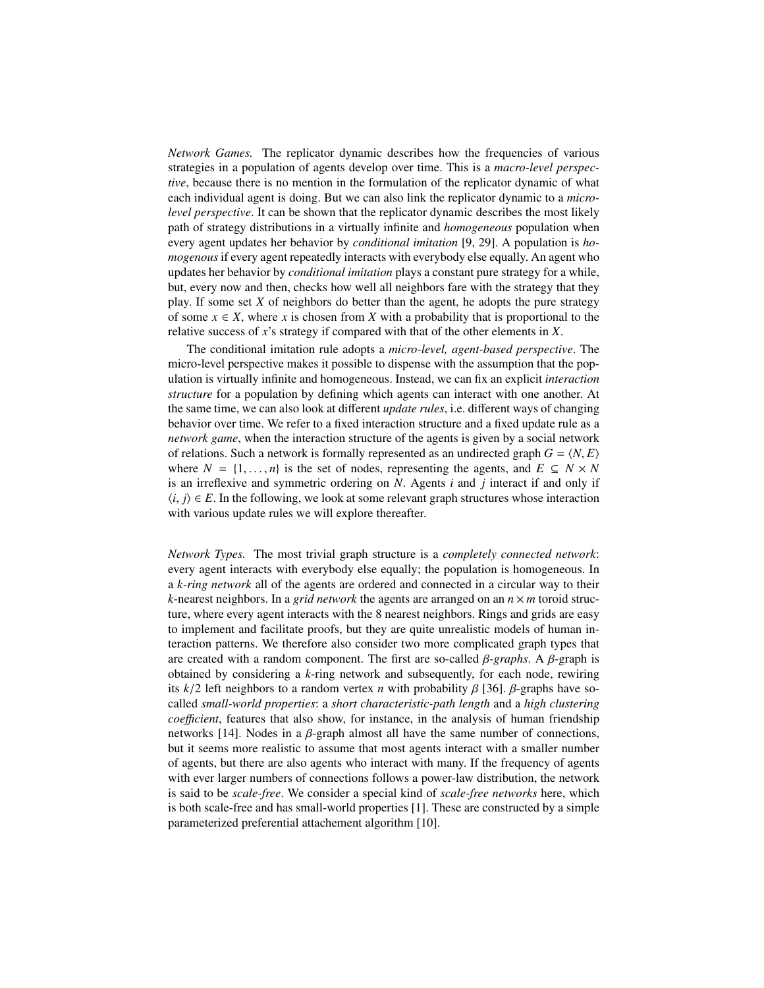*Network Games.* The replicator dynamic describes how the frequencies of various strategies in a population of agents develop over time. This is a *macro-level perspective*, because there is no mention in the formulation of the replicator dynamic of what each individual agent is doing. But we can also link the replicator dynamic to a *microlevel perspective*. It can be shown that the replicator dynamic describes the most likely path of strategy distributions in a virtually infinite and *homogeneous* population when every agent updates her behavior by *conditional imitation* [\[9,](#page-10-14) [29\]](#page-11-16). A population is *homogenous* if every agent repeatedly interacts with everybody else equally. An agent who updates her behavior by *conditional imitation* plays a constant pure strategy for a while, but, every now and then, checks how well all neighbors fare with the strategy that they play. If some set *X* of neighbors do better than the agent, he adopts the pure strategy of some  $x \in X$ , where x is chosen from X with a probability that is proportional to the relative success of *x*'s strategy if compared with that of the other elements in *X*.

The conditional imitation rule adopts a *micro-level, agent-based perspective*. The micro-level perspective makes it possible to dispense with the assumption that the population is virtually infinite and homogeneous. Instead, we can fix an explicit *interaction structure* for a population by defining which agents can interact with one another. At the same time, we can also look at different *update rules*, i.e. different ways of changing behavior over time. We refer to a fixed interaction structure and a fixed update rule as a *network game*, when the interaction structure of the agents is given by a social network of relations. Such a network is formally represented as an undirected graph  $G = \langle N, E \rangle$ where  $N = \{1, \ldots, n\}$  is the set of nodes, representing the agents, and  $E \subseteq N \times N$ is an irreflexive and symmetric ordering on *N*. Agents *i* and *j* interact if and only if  $\langle i, j \rangle \in E$ . In the following, we look at some relevant graph structures whose interaction with various update rules we will explore thereafter.

*Network Types.* The most trivial graph structure is a *completely connected network*: every agent interacts with everybody else equally; the population is homogeneous. In a *k-ring network* all of the agents are ordered and connected in a circular way to their *k*-nearest neighbors. In a *grid network* the agents are arranged on an  $n \times m$  toroid structure, where every agent interacts with the 8 nearest neighbors. Rings and grids are easy to implement and facilitate proofs, but they are quite unrealistic models of human interaction patterns. We therefore also consider two more complicated graph types that are created with a random component. The first are so-called β*-graphs*. A β-graph is obtained by considering a *k*-ring network and subsequently, for each node, rewiring its  $k/2$  left neighbors to a random vertex *n* with probability  $\beta$  [\[36\]](#page-11-17).  $\beta$ -graphs have socalled *small-world properties*: a *short characteristic-path length* and a *high clustering coefficient*, features that also show, for instance, in the analysis of human friendship networks [\[14\]](#page-10-15). Nodes in a  $\beta$ -graph almost all have the same number of connections, but it seems more realistic to assume that most agents interact with a smaller number of agents, but there are also agents who interact with many. If the frequency of agents with ever larger numbers of connections follows a power-law distribution, the network is said to be *scale-free*. We consider a special kind of *scale-free networks* here, which is both scale-free and has small-world properties [\[1\]](#page-10-16). These are constructed by a simple parameterized preferential attachement algorithm [\[10\]](#page-10-17).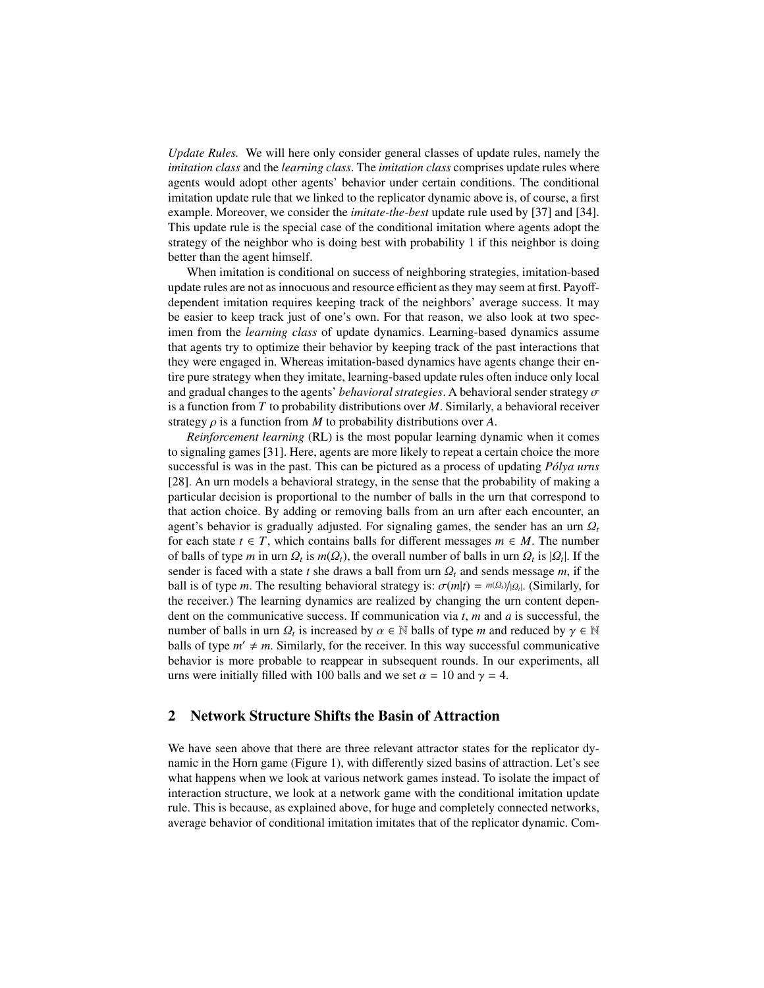*Update Rules.* We will here only consider general classes of update rules, namely the *imitation class* and the *learning class*. The *imitation class* comprises update rules where agents would adopt other agents' behavior under certain conditions. The conditional imitation update rule that we linked to the replicator dynamic above is, of course, a first example. Moreover, we consider the *imitate-the-best* update rule used by [\[37\]](#page-11-5) and [\[34\]](#page-11-6). This update rule is the special case of the conditional imitation where agents adopt the strategy of the neighbor who is doing best with probability 1 if this neighbor is doing better than the agent himself.

When imitation is conditional on success of neighboring strategies, imitation-based update rules are not as innocuous and resource efficient as they may seem at first. Payoffdependent imitation requires keeping track of the neighbors' average success. It may be easier to keep track just of one's own. For that reason, we also look at two specimen from the *learning class* of update dynamics. Learning-based dynamics assume that agents try to optimize their behavior by keeping track of the past interactions that they were engaged in. Whereas imitation-based dynamics have agents change their entire pure strategy when they imitate, learning-based update rules often induce only local and gradual changes to the agents' *behavioral strategies*. A behavioral sender strategy σ is a function from *T* to probability distributions over *M*. Similarly, a behavioral receiver strategy  $\rho$  is a function from *M* to probability distributions over *A*.

*Reinforcement learning* (RL) is the most popular learning dynamic when it comes to signaling games [\[31\]](#page-11-2). Here, agents are more likely to repeat a certain choice the more successful is was in the past. This can be pictured as a process of updating *Pólya urns* [\[28\]](#page-11-18). An urn models a behavioral strategy, in the sense that the probability of making a particular decision is proportional to the number of balls in the urn that correspond to that action choice. By adding or removing balls from an urn after each encounter, an agent's behavior is gradually adjusted. For signaling games, the sender has an urn  $\Omega_t$ for each state  $t \in T$ , which contains balls for different messages  $m \in M$ . The number of balls of type *m* in urn  $Q_t$  is  $m(Q_t)$ , the overall number of balls in urn  $Q_t$  is  $|Q_t|$ . If the sender is faced with a state t she draws a ball from urn  $Q_t$  and sends message *m* if the sender is faced with a state *t* she draws a ball from urn  $Q_t$  and sends message *m*, if the ball is of type *m*. The resulting behavioral strategy is:  $\sigma(m|t) = m(\Omega_t)/|\Omega_t|$ . (Similarly, for the receiver) The learning dynamics are realized by changing the urn content dependent the receiver.) The learning dynamics are realized by changing the urn content dependent on the communicative success. If communication via *t*, *m* and *a* is successful, the number of balls in urn  $\Omega_t$  is increased by  $\alpha \in \mathbb{N}$  balls of type *m* and reduced by  $\gamma \in \mathbb{N}$ <br>balls of type  $m' \neq m$ . Similarly, for the receiver. In this way successful communicative balls of type  $m' \neq m$ . Similarly, for the receiver. In this way successful communicative behavior is more probable to reappear in subsequent rounds. In our experiments, all urns were initially filled with 100 balls and we set  $\alpha = 10$  and  $\gamma = 4$ .

#### <span id="page-4-0"></span>2 Network Structure Shifts the Basin of Attraction

We have seen above that there are three relevant attractor states for the replicator dynamic in the Horn game (Figure [1\)](#page-1-1), with differently sized basins of attraction. Let's see what happens when we look at various network games instead. To isolate the impact of interaction structure, we look at a network game with the conditional imitation update rule. This is because, as explained above, for huge and completely connected networks, average behavior of conditional imitation imitates that of the replicator dynamic. Com-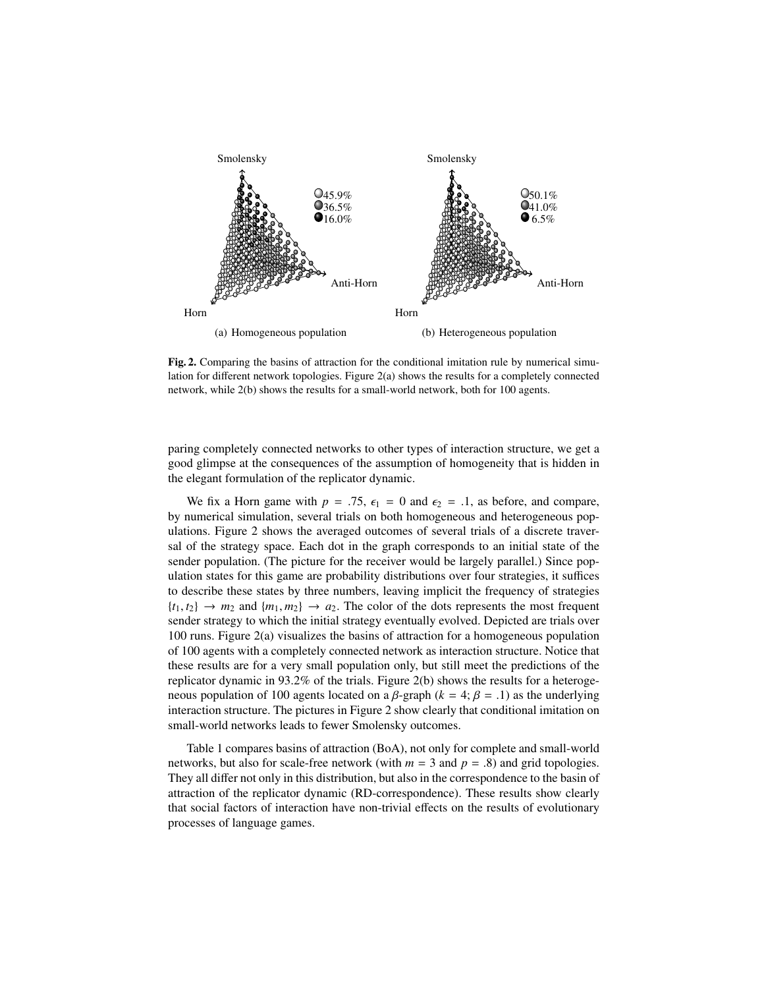<span id="page-5-0"></span>

<span id="page-5-2"></span><span id="page-5-1"></span>Fig. 2. Comparing the basins of attraction for the conditional imitation rule by numerical simulation for different network topologies. Figure [2\(a\)](#page-5-0) shows the results for a completely connected network, while [2\(b\)](#page-5-1) shows the results for a small-world network, both for 100 agents.

paring completely connected networks to other types of interaction structure, we get a good glimpse at the consequences of the assumption of homogeneity that is hidden in the elegant formulation of the replicator dynamic.

We fix a Horn game with  $p = .75$ ,  $\epsilon_1 = 0$  and  $\epsilon_2 = .1$ , as before, and compare, by numerical simulation, several trials on both homogeneous and heterogeneous populations. Figure [2](#page-5-2) shows the averaged outcomes of several trials of a discrete traversal of the strategy space. Each dot in the graph corresponds to an initial state of the sender population. (The picture for the receiver would be largely parallel.) Since population states for this game are probability distributions over four strategies, it suffices to describe these states by three numbers, leaving implicit the frequency of strategies  ${t_1, t_2} \rightarrow m_2$  and  ${m_1, m_2} \rightarrow a_2$ . The color of the dots represents the most frequent sender strategy to which the initial strategy eventually evolved. Depicted are trials over 100 runs. Figure [2\(a\)](#page-5-0) visualizes the basins of attraction for a homogeneous population of 100 agents with a completely connected network as interaction structure. Notice that these results are for a very small population only, but still meet the predictions of the replicator dynamic in 93.2% of the trials. Figure [2\(b\)](#page-5-1) shows the results for a heterogeneous population of 100 agents located on a β-graph ( $k = 4$ ;  $β = .1$ ) as the underlying interaction structure. The pictures in Figure [2](#page-5-2) show clearly that conditional imitation on small-world networks leads to fewer Smolensky outcomes.

Table [1](#page-6-1) compares basins of attraction (BoA), not only for complete and small-world networks, but also for scale-free network (with  $m = 3$  and  $p = .8$ ) and grid topologies. They all differ not only in this distribution, but also in the correspondence to the basin of attraction of the replicator dynamic (RD-correspondence). These results show clearly that social factors of interaction have non-trivial effects on the results of evolutionary processes of language games.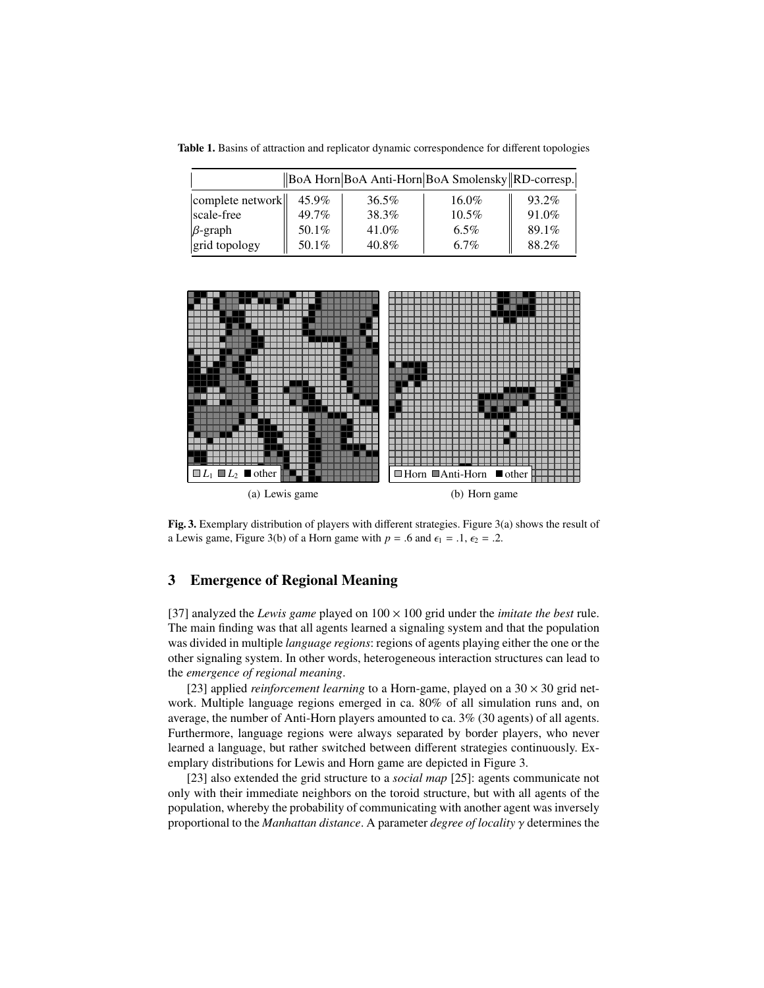<span id="page-6-1"></span>Table 1. Basins of attraction and replicator dynamic correspondence for different topologies

| BoA Horn BoA Anti-Horn BoA Smolensky RD-corresp. |          |          |          |       |
|--------------------------------------------------|----------|----------|----------|-------|
| complete network                                 | 45.9%    | $36.5\%$ | $16.0\%$ | 93.2% |
| scale-free                                       | $49.7\%$ | 38.3%    | $10.5\%$ | 91.0% |
| $\beta$ -graph                                   | 50.1%    | $41.0\%$ | $6.5\%$  | 89.1% |
| grid topology                                    | 50.1%    | $40.8\%$ | 6.7%     | 88.2% |

<span id="page-6-2"></span>

<span id="page-6-4"></span><span id="page-6-3"></span>Fig. 3. Exemplary distribution of players with different strategies. Figure [3\(a\)](#page-6-2) shows the result of a Lewis game, Figure [3\(b\)](#page-6-3) of a Horn game with  $p = .6$  and  $\epsilon_1 = .1$ ,  $\epsilon_2 = .2$ .

## <span id="page-6-0"></span>3 Emergence of Regional Meaning

[\[37\]](#page-11-5) analyzed the *Lewis game* played on  $100 \times 100$  grid under the *imitate the best* rule. The main finding was that all agents learned a signaling system and that the population was divided in multiple *language regions*: regions of agents playing either the one or the other signaling system. In other words, heterogeneous interaction structures can lead to the *emergence of regional meaning*.

[\[23\]](#page-11-7) applied *reinforcement learning* to a Horn-game, played on a  $30 \times 30$  grid network. Multiple language regions emerged in ca. 80% of all simulation runs and, on average, the number of Anti-Horn players amounted to ca. 3% (30 agents) of all agents. Furthermore, language regions were always separated by border players, who never learned a language, but rather switched between different strategies continuously. Exemplary distributions for Lewis and Horn game are depicted in Figure [3.](#page-6-4)

[\[23\]](#page-11-7) also extended the grid structure to a *social map* [\[25\]](#page-11-4): agents communicate not only with their immediate neighbors on the toroid structure, but with all agents of the population, whereby the probability of communicating with another agent was inversely proportional to the *Manhattan distance*. A parameter *degree of locality* γ determines the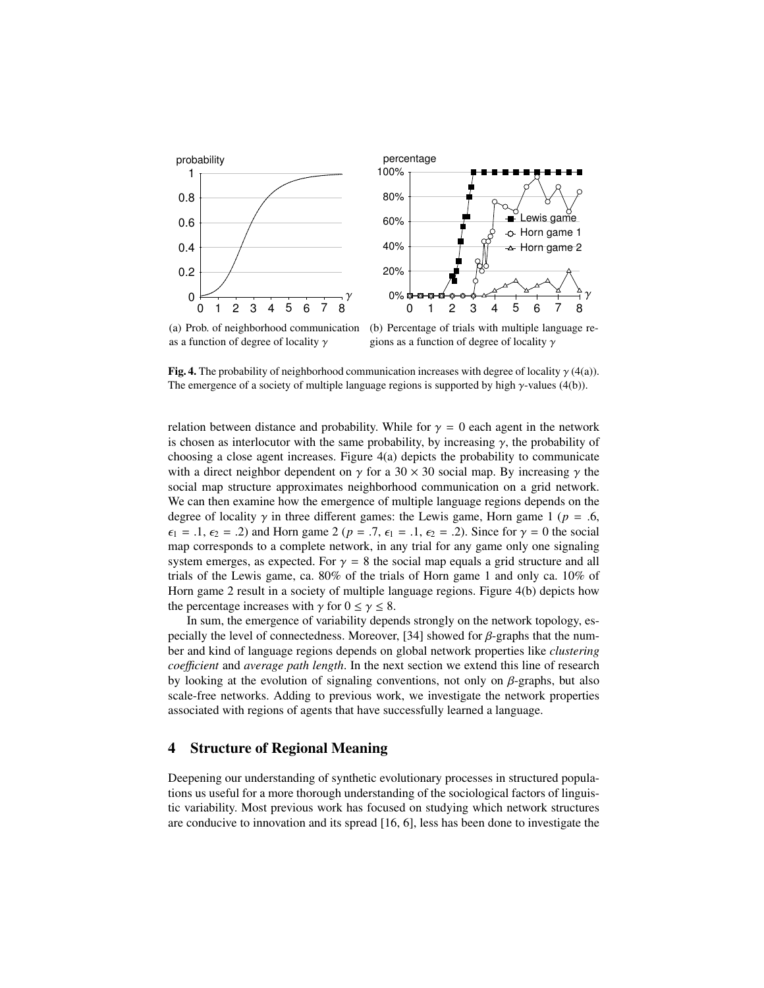<span id="page-7-1"></span>

<span id="page-7-2"></span>(a) Prob. of neighborhood communication as a function of degree of locality  $\gamma$ (b) Percentage of trials with multiple language regions as a function of degree of locality  $\gamma$ 

Fig. 4. The probability of neighborhood communication increases with degree of locality  $\gamma$  [\(4\(a\)\)](#page-7-1). The emergence of a society of multiple language regions is supported by high  $\gamma$ -values [\(4\(b\)\)](#page-7-2).

relation between distance and probability. While for  $\gamma = 0$  each agent in the network is chosen as interlocutor with the same probability, by increasing  $\gamma$ , the probability of choosing a close agent increases. Figure [4\(a\)](#page-7-1) depicts the probability to communicate with a direct neighbor dependent on  $\gamma$  for a 30 × 30 social map. By increasing  $\gamma$  the social map structure approximates neighborhood communication on a grid network. We can then examine how the emergence of multiple language regions depends on the degree of locality  $\gamma$  in three different games: the Lewis game, Horn game 1 ( $p = .6$ ,  $\epsilon_1 = .1, \epsilon_2 = .2$ ) and Horn game 2 ( $p = .7, \epsilon_1 = .1, \epsilon_2 = .2$ ). Since for  $\gamma = 0$  the social map corresponds to a complete network, in any trial for any game only one signaling system emerges, as expected. For  $\gamma = 8$  the social map equals a grid structure and all trials of the Lewis game, ca. 80% of the trials of Horn game 1 and only ca. 10% of Horn game 2 result in a society of multiple language regions. Figure [4\(b\)](#page-7-2) depicts how the percentage increases with  $\gamma$  for  $0 \le \gamma \le 8$ .

In sum, the emergence of variability depends strongly on the network topology, es-pecially the level of connectedness. Moreover, [\[34\]](#page-11-6) showed for  $\beta$ -graphs that the number and kind of language regions depends on global network properties like *clustering coe*ffi*cient* and *average path length*. In the next section we extend this line of research by looking at the evolution of signaling conventions, not only on  $\beta$ -graphs, but also scale-free networks. Adding to previous work, we investigate the network properties associated with regions of agents that have successfully learned a language.

## <span id="page-7-0"></span>4 Structure of Regional Meaning

Deepening our understanding of synthetic evolutionary processes in structured populations us useful for a more thorough understanding of the sociological factors of linguistic variability. Most previous work has focused on studying which network structures are conducive to innovation and its spread [\[16,](#page-10-7) [6\]](#page-10-8), less has been done to investigate the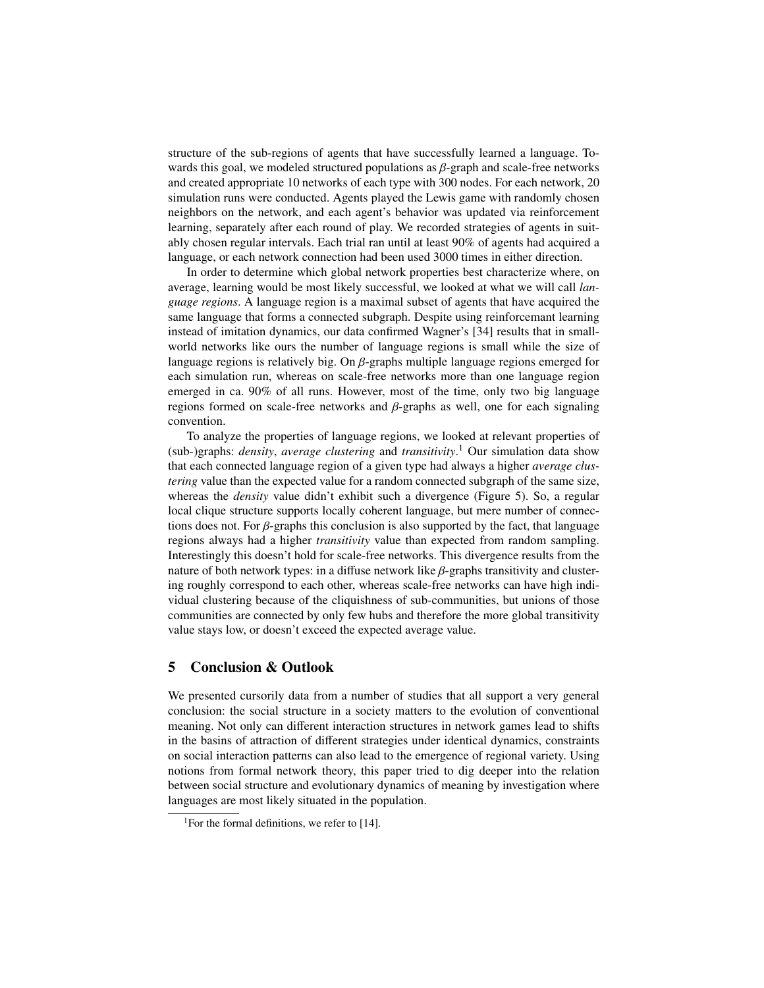structure of the sub-regions of agents that have successfully learned a language. Towards this goal, we modeled structured populations as  $\beta$ -graph and scale-free networks and created appropriate 10 networks of each type with 300 nodes. For each network, 20 simulation runs were conducted. Agents played the Lewis game with randomly chosen neighbors on the network, and each agent's behavior was updated via reinforcement learning, separately after each round of play. We recorded strategies of agents in suitably chosen regular intervals. Each trial ran until at least 90% of agents had acquired a language, or each network connection had been used 3000 times in either direction.

In order to determine which global network properties best characterize where, on average, learning would be most likely successful, we looked at what we will call *language regions*. A language region is a maximal subset of agents that have acquired the same language that forms a connected subgraph. Despite using reinforcemant learning instead of imitation dynamics, our data confirmed Wagner's [\[34\]](#page-11-6) results that in smallworld networks like ours the number of language regions is small while the size of language regions is relatively big. On β-graphs multiple language regions emerged for each simulation run, whereas on scale-free networks more than one language region emerged in ca. 90% of all runs. However, most of the time, only two big language regions formed on scale-free networks and β-graphs as well, one for each signaling convention.

To analyze the properties of language regions, we looked at relevant properties of (sub-)graphs: *density*, *average clustering* and *transitivity*. [1](#page-8-0) Our simulation data show that each connected language region of a given type had always a higher *average clustering* value than the expected value for a random connected subgraph of the same size, whereas the *density* value didn't exhibit such a divergence (Figure [5\)](#page-9-0). So, a regular local clique structure supports locally coherent language, but mere number of connections does not. For  $\beta$ -graphs this conclusion is also supported by the fact, that language regions always had a higher *transitivity* value than expected from random sampling. Interestingly this doesn't hold for scale-free networks. This divergence results from the nature of both network types: in a diffuse network like  $\beta$ -graphs transitivity and clustering roughly correspond to each other, whereas scale-free networks can have high individual clustering because of the cliquishness of sub-communities, but unions of those communities are connected by only few hubs and therefore the more global transitivity value stays low, or doesn't exceed the expected average value.

### 5 Conclusion & Outlook

We presented cursorily data from a number of studies that all support a very general conclusion: the social structure in a society matters to the evolution of conventional meaning. Not only can different interaction structures in network games lead to shifts in the basins of attraction of different strategies under identical dynamics, constraints on social interaction patterns can also lead to the emergence of regional variety. Using notions from formal network theory, this paper tried to dig deeper into the relation between social structure and evolutionary dynamics of meaning by investigation where languages are most likely situated in the population.

<span id="page-8-0"></span><sup>&</sup>lt;sup>1</sup>For the formal definitions, we refer to [\[14\]](#page-10-15).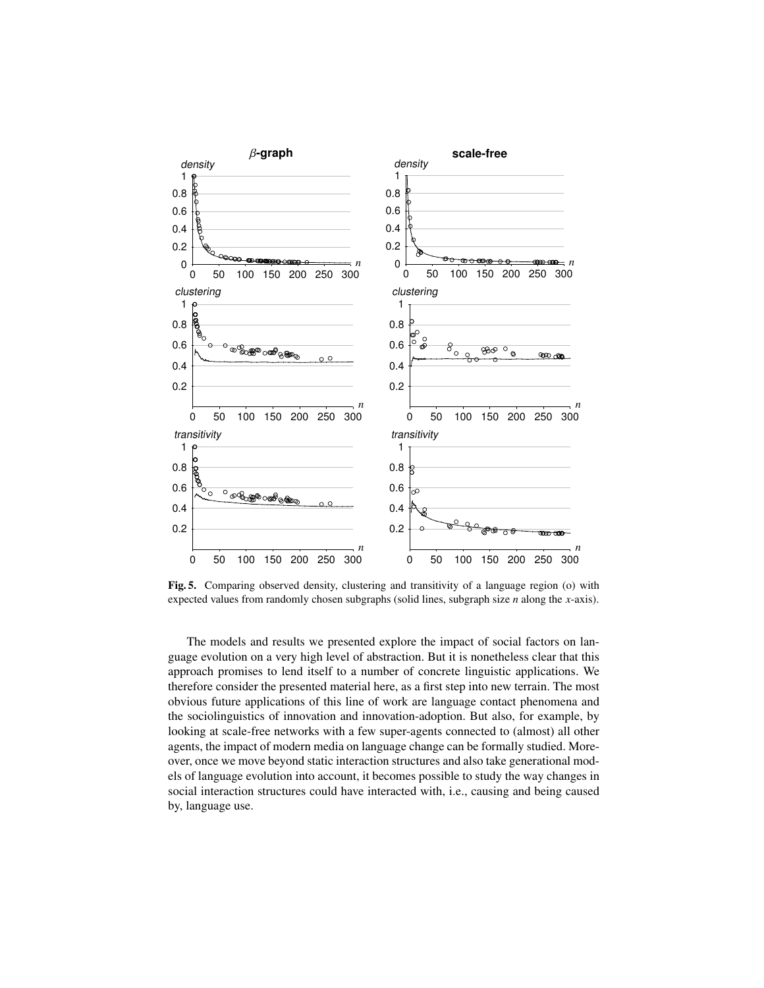

<span id="page-9-0"></span>Fig. 5. Comparing observed density, clustering and transitivity of a language region (o) with expected values from randomly chosen subgraphs (solid lines, subgraph size *n* along the *x*-axis).

The models and results we presented explore the impact of social factors on language evolution on a very high level of abstraction. But it is nonetheless clear that this approach promises to lend itself to a number of concrete linguistic applications. We therefore consider the presented material here, as a first step into new terrain. The most obvious future applications of this line of work are language contact phenomena and the sociolinguistics of innovation and innovation-adoption. But also, for example, by looking at scale-free networks with a few super-agents connected to (almost) all other agents, the impact of modern media on language change can be formally studied. Moreover, once we move beyond static interaction structures and also take generational models of language evolution into account, it becomes possible to study the way changes in social interaction structures could have interacted with, i.e., causing and being caused by, language use.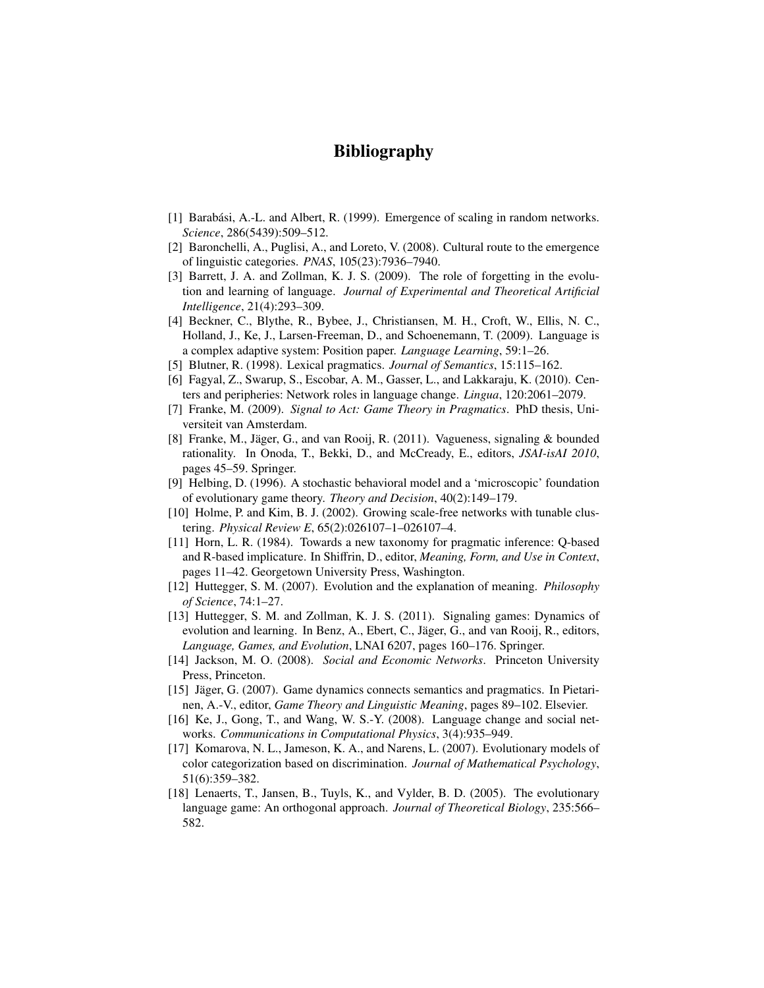# Bibliography

- <span id="page-10-16"></span>[1] Barabási, A.-L. and Albert, R. (1999). Emergence of scaling in random networks. *Science*, 286(5439):509–512.
- <span id="page-10-1"></span>[2] Baronchelli, A., Puglisi, A., and Loreto, V. (2008). Cultural route to the emergence of linguistic categories. *PNAS*, 105(23):7936–7940.
- <span id="page-10-4"></span>[3] Barrett, J. A. and Zollman, K. J. S. (2009). The role of forgetting in the evolution and learning of language. *Journal of Experimental and Theoretical Artificial Intelligence*, 21(4):293–309.
- <span id="page-10-0"></span>[4] Beckner, C., Blythe, R., Bybee, J., Christiansen, M. H., Croft, W., Ellis, N. C., Holland, J., Ke, J., Larsen-Freeman, D., and Schoenemann, T. (2009). Language is a complex adaptive system: Position paper. *Language Learning*, 59:1–26.
- <span id="page-10-9"></span>[5] Blutner, R. (1998). Lexical pragmatics. *Journal of Semantics*, 15:115–162.
- <span id="page-10-8"></span>[6] Fagyal, Z., Swarup, S., Escobar, A. M., Gasser, L., and Lakkaraju, K. (2010). Centers and peripheries: Network roles in language change. *Lingua*, 120:2061–2079.
- <span id="page-10-12"></span>[7] Franke, M. (2009). *Signal to Act: Game Theory in Pragmatics*. PhD thesis, Universiteit van Amsterdam.
- <span id="page-10-5"></span>[8] Franke, M., Jäger, G., and van Rooij, R. (2011). Vagueness, signaling & bounded rationality. In Onoda, T., Bekki, D., and McCready, E., editors, *JSAI-isAI 2010*, pages 45–59. Springer.
- <span id="page-10-14"></span>[9] Helbing, D. (1996). A stochastic behavioral model and a 'microscopic' foundation of evolutionary game theory. *Theory and Decision*, 40(2):149–179.
- <span id="page-10-17"></span>[10] Holme, P. and Kim, B. J. (2002). Growing scale-free networks with tunable clustering. *Physical Review E*, 65(2):026107–1–026107–4.
- <span id="page-10-10"></span>[11] Horn, L. R. (1984). Towards a new taxonomy for pragmatic inference: Q-based and R-based implicature. In Shiffrin, D., editor, *Meaning, Form, and Use in Context*, pages 11–42. Georgetown University Press, Washington.
- <span id="page-10-13"></span>[12] Huttegger, S. M. (2007). Evolution and the explanation of meaning. *Philosophy of Science*, 74:1–27.
- <span id="page-10-6"></span>[13] Huttegger, S. M. and Zollman, K. J. S. (2011). Signaling games: Dynamics of evolution and learning. In Benz, A., Ebert, C., Jäger, G., and van Rooij, R., editors, *Language, Games, and Evolution*, LNAI 6207, pages 160–176. Springer.
- <span id="page-10-15"></span>[14] Jackson, M. O. (2008). *Social and Economic Networks*. Princeton University Press, Princeton.
- <span id="page-10-11"></span>[15] Jäger, G. (2007). Game dynamics connects semantics and pragmatics. In Pietarinen, A.-V., editor, *Game Theory and Linguistic Meaning*, pages 89–102. Elsevier.
- <span id="page-10-7"></span>[16] Ke, J., Gong, T., and Wang, W. S.-Y. (2008). Language change and social networks. *Communications in Computational Physics*, 3(4):935–949.
- <span id="page-10-3"></span>[17] Komarova, N. L., Jameson, K. A., and Narens, L. (2007). Evolutionary models of color categorization based on discrimination. *Journal of Mathematical Psychology*, 51(6):359–382.
- <span id="page-10-2"></span>[18] Lenaerts, T., Jansen, B., Tuyls, K., and Vylder, B. D. (2005). The evolutionary language game: An orthogonal approach. *Journal of Theoretical Biology*, 235:566– 582.